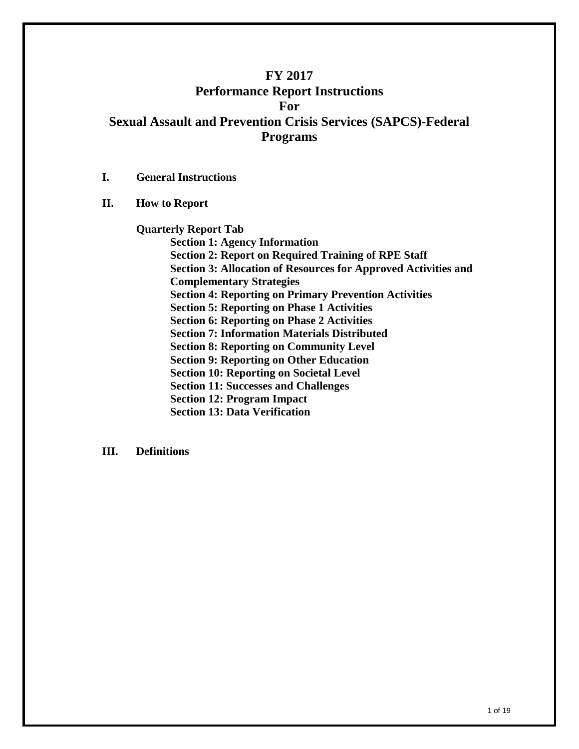# **FY 2017 Performance Report Instructions For Sexual Assault and Prevention Crisis Services (SAPCS)-Federal Programs**

- **I. General Instructions**
- **II. How to Report**

#### **Quarterly Report Tab**

**Section 1: Agency Information Section 2: Report on Required Training of RPE Staff Section 3: Allocation of Resources for Approved Activities and Complementary Strategies Section 4: Reporting on Primary Prevention Activities Section 5: Reporting on Phase 1 Activities Section 6: Reporting on Phase 2 Activities Section 7: Information Materials Distributed Section 8: Reporting on Community Level Section 9: Reporting on Other Education Section 10: Reporting on Societal Level Section 11: Successes and Challenges Section 12: Program Impact Section 13: Data Verification**

#### **III. Definitions**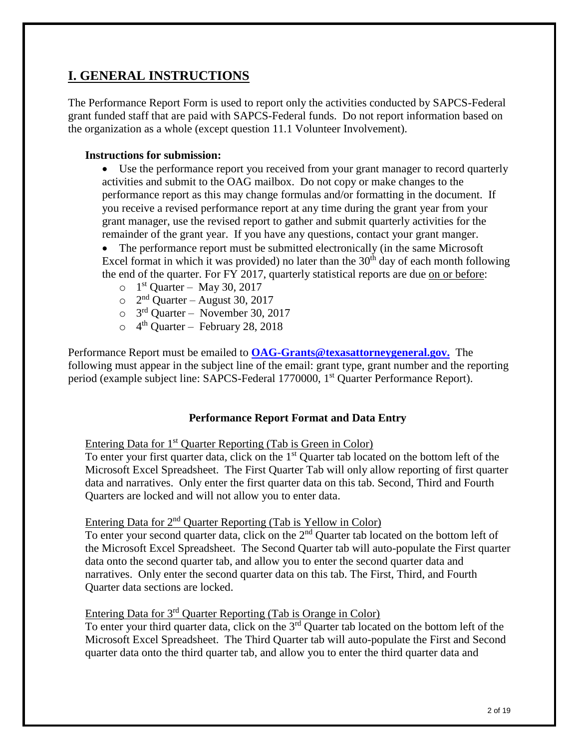# **I. GENERAL INSTRUCTIONS**

The Performance Report Form is used to report only the activities conducted by SAPCS-Federal grant funded staff that are paid with SAPCS-Federal funds. Do not report information based on the organization as a whole (except question 11.1 Volunteer Involvement).

## **Instructions for submission:**

 Use the performance report you received from your grant manager to record quarterly activities and submit to the OAG mailbox. Do not copy or make changes to the performance report as this may change formulas and/or formatting in the document. If you receive a revised performance report at any time during the grant year from your grant manager, use the revised report to gather and submit quarterly activities for the remainder of the grant year. If you have any questions, contact your grant manger.

 The performance report must be submitted electronically (in the same Microsoft Excel format in which it was provided) no later than the  $30<sup>th</sup>$  day of each month following the end of the quarter. For FY 2017, quarterly statistical reports are due on or before:

- $\circ$  1<sup>st</sup> Quarter May 30, 2017
- $\circ$  2<sup>nd</sup> Quarter August 30, 2017
- $\circ$  3<sup>rd</sup> Quarter November 30, 2017
- $\circ$  4<sup>th</sup> Quarter February 28, 2018

Performance Report must be emailed to **[OAG-Grants@texasattorneygeneral.gov.](mailto:OAG-Grants@oag.state.tx.us)** The following must appear in the subject line of the email: grant type, grant number and the reporting period (example subject line: SAPCS-Federal 1770000, 1st Quarter Performance Report).

## **Performance Report Format and Data Entry**

## Entering Data for 1<sup>st</sup> Quarter Reporting (Tab is Green in Color)

To enter your first quarter data, click on the 1<sup>st</sup> Quarter tab located on the bottom left of the Microsoft Excel Spreadsheet. The First Quarter Tab will only allow reporting of first quarter data and narratives. Only enter the first quarter data on this tab. Second, Third and Fourth Quarters are locked and will not allow you to enter data.

# Entering Data for 2nd Quarter Reporting (Tab is Yellow in Color)

To enter your second quarter data, click on the 2<sup>nd</sup> Quarter tab located on the bottom left of the Microsoft Excel Spreadsheet. The Second Quarter tab will auto-populate the First quarter data onto the second quarter tab, and allow you to enter the second quarter data and narratives. Only enter the second quarter data on this tab. The First, Third, and Fourth Quarter data sections are locked.

## Entering Data for 3rd Quarter Reporting (Tab is Orange in Color)

To enter your third quarter data, click on the 3<sup>rd</sup> Quarter tab located on the bottom left of the Microsoft Excel Spreadsheet. The Third Quarter tab will auto-populate the First and Second quarter data onto the third quarter tab, and allow you to enter the third quarter data and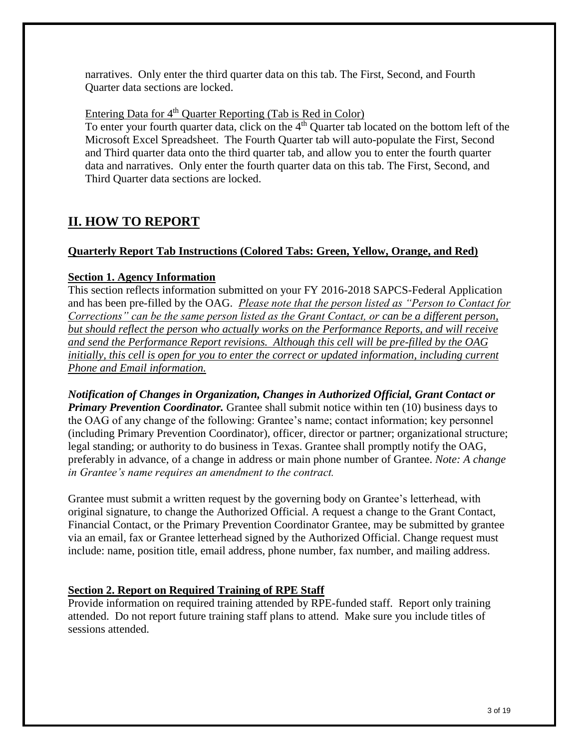narratives. Only enter the third quarter data on this tab. The First, Second, and Fourth Quarter data sections are locked.

Entering Data for  $4<sup>th</sup>$  Quarter Reporting (Tab is Red in Color)

To enter your fourth quarter data, click on the  $4<sup>th</sup>$  Quarter tab located on the bottom left of the Microsoft Excel Spreadsheet. The Fourth Quarter tab will auto-populate the First, Second and Third quarter data onto the third quarter tab, and allow you to enter the fourth quarter data and narratives. Only enter the fourth quarter data on this tab. The First, Second, and Third Quarter data sections are locked.

# **II. HOW TO REPORT**

## **Quarterly Report Tab Instructions (Colored Tabs: Green, Yellow, Orange, and Red)**

## **Section 1. Agency Information**

This section reflects information submitted on your FY 2016-2018 SAPCS-Federal Application and has been pre-filled by the OAG. *Please note that the person listed as "Person to Contact for Corrections" can be the same person listed as the Grant Contact, or can be a different person, but should reflect the person who actually works on the Performance Reports, and will receive and send the Performance Report revisions. Although this cell will be pre-filled by the OAG initially, this cell is open for you to enter the correct or updated information, including current Phone and Email information.* 

*Notification of Changes in Organization, Changes in Authorized Official, Grant Contact or Primary Prevention Coordinator.* Grantee shall submit notice within ten (10) business days to the OAG of any change of the following: Grantee's name; contact information; key personnel (including Primary Prevention Coordinator), officer, director or partner; organizational structure; legal standing; or authority to do business in Texas. Grantee shall promptly notify the OAG, preferably in advance, of a change in address or main phone number of Grantee. *Note: A change in Grantee's name requires an amendment to the contract.*

Grantee must submit a written request by the governing body on Grantee's letterhead, with original signature, to change the Authorized Official. A request a change to the Grant Contact, Financial Contact, or the Primary Prevention Coordinator Grantee, may be submitted by grantee via an email, fax or Grantee letterhead signed by the Authorized Official. Change request must include: name, position title, email address, phone number, fax number, and mailing address.

# **Section 2. Report on Required Training of RPE Staff**

Provide information on required training attended by RPE-funded staff. Report only training attended. Do not report future training staff plans to attend. Make sure you include titles of sessions attended.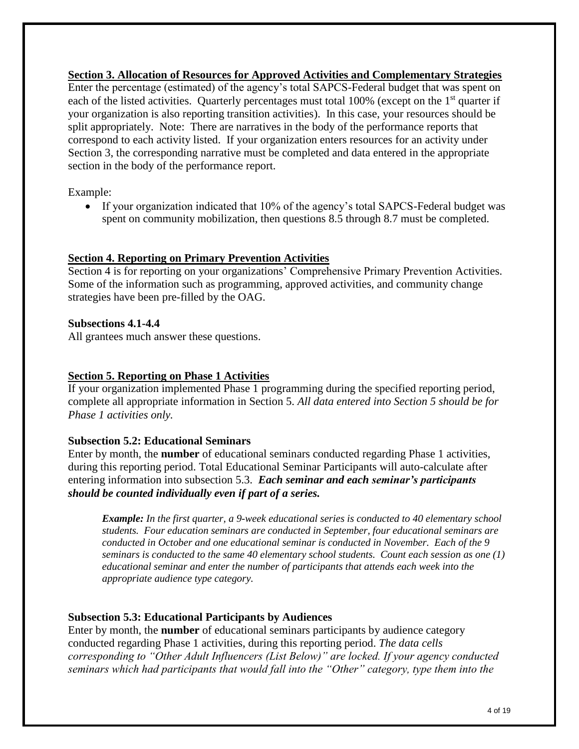**Section 3. Allocation of Resources for Approved Activities and Complementary Strategies** Enter the percentage (estimated) of the agency's total SAPCS-Federal budget that was spent on each of the listed activities. Quarterly percentages must total  $100\%$  (except on the 1<sup>st</sup> quarter if your organization is also reporting transition activities). In this case, your resources should be split appropriately. Note: There are narratives in the body of the performance reports that correspond to each activity listed. If your organization enters resources for an activity under Section 3, the corresponding narrative must be completed and data entered in the appropriate section in the body of the performance report.

Example:

• If your organization indicated that 10% of the agency's total SAPCS-Federal budget was spent on community mobilization, then questions 8.5 through 8.7 must be completed.

#### **Section 4. Reporting on Primary Prevention Activities**

Section 4 is for reporting on your organizations' Comprehensive Primary Prevention Activities. Some of the information such as programming, approved activities, and community change strategies have been pre-filled by the OAG.

#### **Subsections 4.1-4.4**

All grantees much answer these questions.

## **Section 5. Reporting on Phase 1 Activities**

If your organization implemented Phase 1 programming during the specified reporting period, complete all appropriate information in Section 5. *All data entered into Section 5 should be for Phase 1 activities only.* 

#### **Subsection 5.2: Educational Seminars**

Enter by month, the **number** of educational seminars conducted regarding Phase 1 activities, during this reporting period. Total Educational Seminar Participants will auto-calculate after entering information into subsection 5.3. *Each seminar and each seminar's participants should be counted individually even if part of a series.*

*Example: In the first quarter, a 9-week educational series is conducted to 40 elementary school students. Four education seminars are conducted in September, four educational seminars are conducted in October and one educational seminar is conducted in November. Each of the 9 seminars is conducted to the same 40 elementary school students. Count each session as one (1) educational seminar and enter the number of participants that attends each week into the appropriate audience type category.*

## **Subsection 5.3: Educational Participants by Audiences**

Enter by month, the **number** of educational seminars participants by audience category conducted regarding Phase 1 activities, during this reporting period. *The data cells corresponding to "Other Adult Influencers (List Below)" are locked. If your agency conducted seminars which had participants that would fall into the "Other" category, type them into the*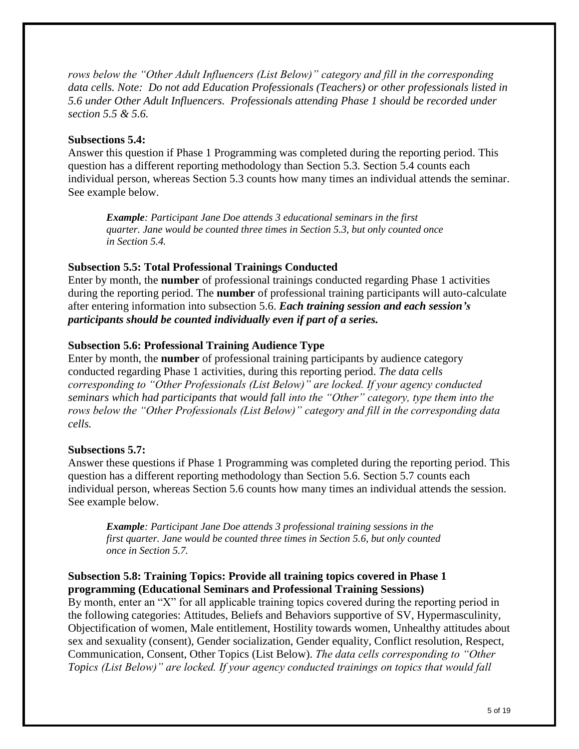*rows below the "Other Adult Influencers (List Below)" category and fill in the corresponding data cells. Note: Do not add Education Professionals (Teachers) or other professionals listed in 5.6 under Other Adult Influencers. Professionals attending Phase 1 should be recorded under section 5.5 & 5.6.*

#### **Subsections 5.4:**

Answer this question if Phase 1 Programming was completed during the reporting period. This question has a different reporting methodology than Section 5.3. Section 5.4 counts each individual person, whereas Section 5.3 counts how many times an individual attends the seminar. See example below.

*Example: Participant Jane Doe attends 3 educational seminars in the first quarter. Jane would be counted three times in Section 5.3, but only counted once in Section 5.4.*

## **Subsection 5.5: Total Professional Trainings Conducted**

Enter by month, the **number** of professional trainings conducted regarding Phase 1 activities during the reporting period. The **number** of professional training participants will auto-calculate after entering information into subsection 5.6. *Each training session and each session's participants should be counted individually even if part of a series.*

#### **Subsection 5.6: Professional Training Audience Type**

Enter by month, the **number** of professional training participants by audience category conducted regarding Phase 1 activities, during this reporting period. *The data cells corresponding to "Other Professionals (List Below)" are locked. If your agency conducted seminars which had participants that would fall into the "Other" category, type them into the rows below the "Other Professionals (List Below)" category and fill in the corresponding data cells.*

#### **Subsections 5.7:**

Answer these questions if Phase 1 Programming was completed during the reporting period. This question has a different reporting methodology than Section 5.6. Section 5.7 counts each individual person, whereas Section 5.6 counts how many times an individual attends the session. See example below.

*Example: Participant Jane Doe attends 3 professional training sessions in the first quarter. Jane would be counted three times in Section 5.6, but only counted once in Section 5.7.*

## **Subsection 5.8: Training Topics: Provide all training topics covered in Phase 1 programming (Educational Seminars and Professional Training Sessions)**

By month, enter an "X" for all applicable training topics covered during the reporting period in the following categories: Attitudes, Beliefs and Behaviors supportive of SV, Hypermasculinity, Objectification of women, Male entitlement, Hostility towards women, Unhealthy attitudes about sex and sexuality (consent), Gender socialization, Gender equality, Conflict resolution, Respect, Communication, Consent, Other Topics (List Below). *The data cells corresponding to "Other Topics (List Below)" are locked. If your agency conducted trainings on topics that would fall*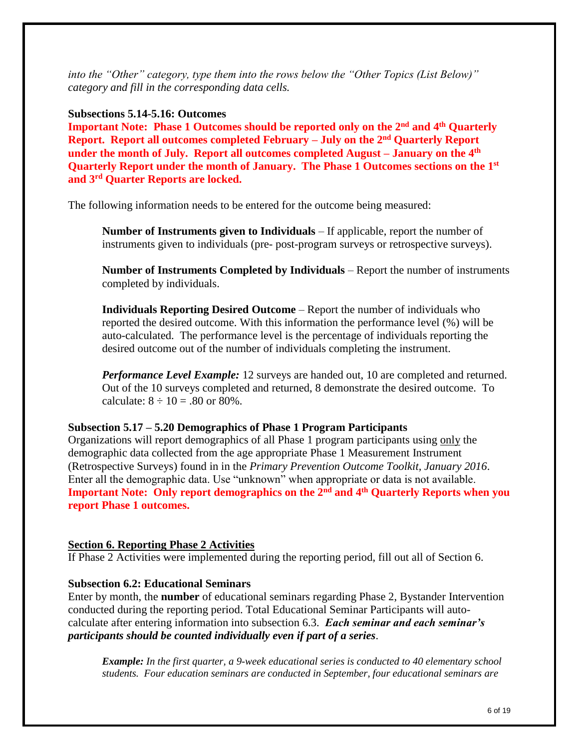*into the "Other" category, type them into the rows below the "Other Topics (List Below)" category and fill in the corresponding data cells.*

#### **Subsections 5.14-5.16: Outcomes**

**Important Note: Phase 1 Outcomes should be reported only on the 2nd and 4th Quarterly Report. Report all outcomes completed February – July on the 2nd Quarterly Report under the month of July. Report all outcomes completed August – January on the 4th Quarterly Report under the month of January. The Phase 1 Outcomes sections on the 1st and 3rd Quarter Reports are locked.** 

The following information needs to be entered for the outcome being measured:

**Number of Instruments given to Individuals** – If applicable, report the number of instruments given to individuals (pre- post-program surveys or retrospective surveys).

**Number of Instruments Completed by Individuals** – Report the number of instruments completed by individuals.

**Individuals Reporting Desired Outcome** – Report the number of individuals who reported the desired outcome. With this information the performance level (%) will be auto-calculated. The performance level is the percentage of individuals reporting the desired outcome out of the number of individuals completing the instrument.

*Performance Level Example:* 12 surveys are handed out, 10 are completed and returned. Out of the 10 surveys completed and returned, 8 demonstrate the desired outcome. To calculate:  $8 \div 10 = .80$  or 80%.

#### **Subsection 5.17 – 5.20 Demographics of Phase 1 Program Participants**

Organizations will report demographics of all Phase 1 program participants using only the demographic data collected from the age appropriate Phase 1 Measurement Instrument (Retrospective Surveys) found in in the *Primary Prevention Outcome Toolkit, January 2016*. Enter all the demographic data. Use "unknown" when appropriate or data is not available. **Important Note: Only report demographics on the 2nd and 4th Quarterly Reports when you report Phase 1 outcomes.**

## **Section 6. Reporting Phase 2 Activities**

If Phase 2 Activities were implemented during the reporting period, fill out all of Section 6.

## **Subsection 6.2: Educational Seminars**

Enter by month, the **number** of educational seminars regarding Phase 2, Bystander Intervention conducted during the reporting period. Total Educational Seminar Participants will autocalculate after entering information into subsection 6.3. *Each seminar and each seminar's participants should be counted individually even if part of a series*.

*Example: In the first quarter, a 9-week educational series is conducted to 40 elementary school students. Four education seminars are conducted in September, four educational seminars are*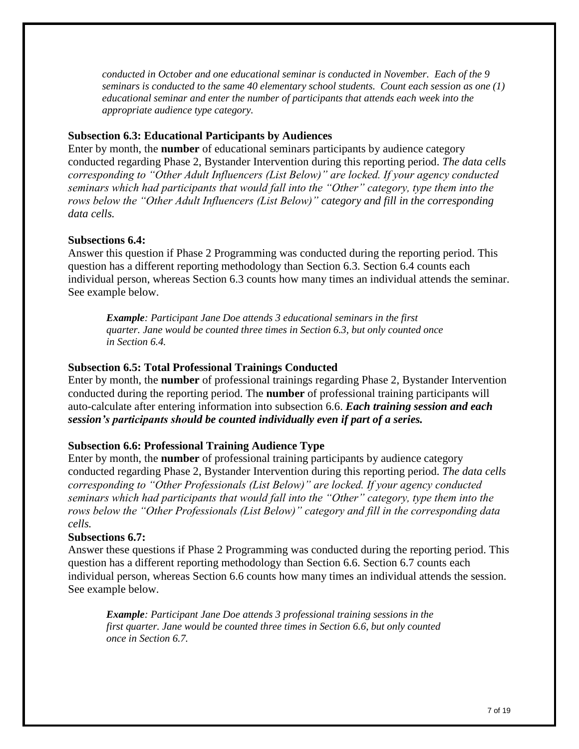*conducted in October and one educational seminar is conducted in November. Each of the 9 seminars is conducted to the same 40 elementary school students. Count each session as one (1) educational seminar and enter the number of participants that attends each week into the appropriate audience type category.*

## **Subsection 6.3: Educational Participants by Audiences**

Enter by month, the **number** of educational seminars participants by audience category conducted regarding Phase 2, Bystander Intervention during this reporting period. *The data cells corresponding to "Other Adult Influencers (List Below)" are locked. If your agency conducted seminars which had participants that would fall into the "Other" category, type them into the rows below the "Other Adult Influencers (List Below)" category and fill in the corresponding data cells.*

## **Subsections 6.4:**

Answer this question if Phase 2 Programming was conducted during the reporting period. This question has a different reporting methodology than Section 6.3. Section 6.4 counts each individual person, whereas Section 6.3 counts how many times an individual attends the seminar. See example below.

*Example: Participant Jane Doe attends 3 educational seminars in the first quarter. Jane would be counted three times in Section 6.3, but only counted once in Section 6.4.*

## **Subsection 6.5: Total Professional Trainings Conducted**

Enter by month, the **number** of professional trainings regarding Phase 2, Bystander Intervention conducted during the reporting period. The **number** of professional training participants will auto-calculate after entering information into subsection 6.6. *Each training session and each session's participants should be counted individually even if part of a series.*

## **Subsection 6.6: Professional Training Audience Type**

Enter by month, the **number** of professional training participants by audience category conducted regarding Phase 2, Bystander Intervention during this reporting period. *The data cells corresponding to "Other Professionals (List Below)" are locked. If your agency conducted seminars which had participants that would fall into the "Other" category, type them into the rows below the "Other Professionals (List Below)" category and fill in the corresponding data cells.*

## **Subsections 6.7:**

Answer these questions if Phase 2 Programming was conducted during the reporting period. This question has a different reporting methodology than Section 6.6. Section 6.7 counts each individual person, whereas Section 6.6 counts how many times an individual attends the session. See example below.

*Example: Participant Jane Doe attends 3 professional training sessions in the first quarter. Jane would be counted three times in Section 6.6, but only counted once in Section 6.7.*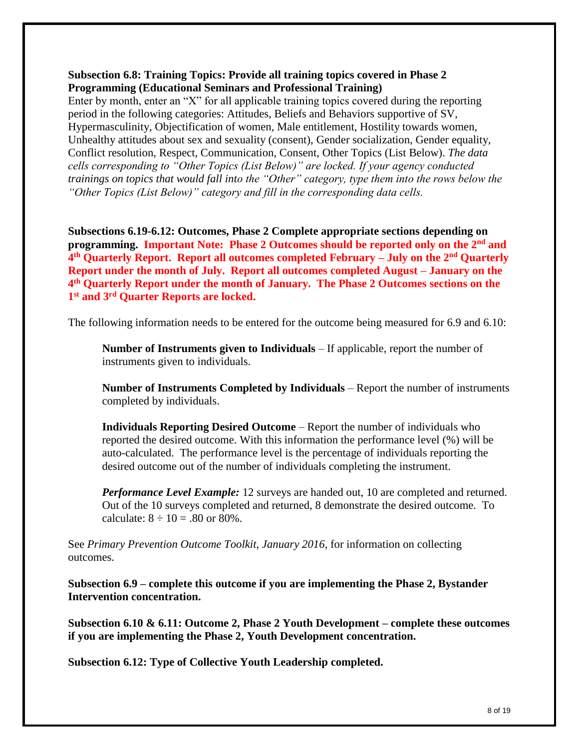## **Subsection 6.8: Training Topics: Provide all training topics covered in Phase 2 Programming (Educational Seminars and Professional Training)**

Enter by month, enter an "X" for all applicable training topics covered during the reporting period in the following categories: Attitudes, Beliefs and Behaviors supportive of SV, Hypermasculinity, Objectification of women, Male entitlement, Hostility towards women, Unhealthy attitudes about sex and sexuality (consent), Gender socialization, Gender equality, Conflict resolution, Respect, Communication, Consent, Other Topics (List Below). *The data cells corresponding to "Other Topics (List Below)" are locked. If your agency conducted trainings on topics that would fall into the "Other" category, type them into the rows below the "Other Topics (List Below)" category and fill in the corresponding data cells.* 

**Subsections 6.19-6.12: Outcomes, Phase 2 Complete appropriate sections depending on programming. Important Note: Phase 2 Outcomes should be reported only on the 2nd and 4 th Quarterly Report. Report all outcomes completed February – July on the 2nd Quarterly Report under the month of July. Report all outcomes completed August – January on the 4 th Quarterly Report under the month of January. The Phase 2 Outcomes sections on the 1 st and 3rd Quarter Reports are locked.** 

The following information needs to be entered for the outcome being measured for 6.9 and 6.10:

**Number of Instruments given to Individuals** – If applicable, report the number of instruments given to individuals.

**Number of Instruments Completed by Individuals** – Report the number of instruments completed by individuals.

**Individuals Reporting Desired Outcome** – Report the number of individuals who reported the desired outcome. With this information the performance level (%) will be auto-calculated. The performance level is the percentage of individuals reporting the desired outcome out of the number of individuals completing the instrument.

*Performance Level Example:* 12 surveys are handed out, 10 are completed and returned. Out of the 10 surveys completed and returned, 8 demonstrate the desired outcome. To calculate:  $8 \div 10 = .80$  or 80%.

See *Primary Prevention Outcome Toolkit, January 2016,* for information on collecting outcomes.

**Subsection 6.9 – complete this outcome if you are implementing the Phase 2, Bystander Intervention concentration.**

**Subsection 6.10 & 6.11: Outcome 2, Phase 2 Youth Development – complete these outcomes if you are implementing the Phase 2, Youth Development concentration.**

**Subsection 6.12: Type of Collective Youth Leadership completed.**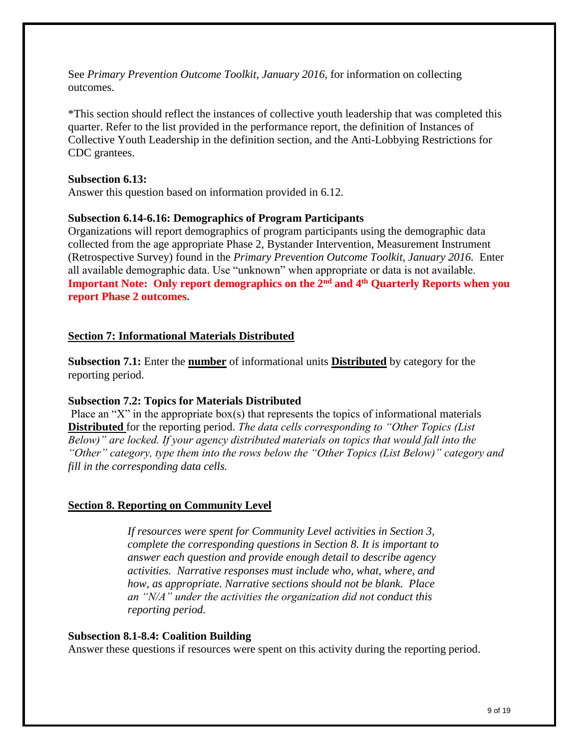See *Primary Prevention Outcome Toolkit, January 2016,* for information on collecting outcomes.

\*This section should reflect the instances of collective youth leadership that was completed this quarter. Refer to the list provided in the performance report, the definition of Instances of Collective Youth Leadership in the definition section, and the Anti-Lobbying Restrictions for CDC grantees.

#### **Subsection 6.13:**

Answer this question based on information provided in 6.12.

## **Subsection 6.14-6.16: Demographics of Program Participants**

Organizations will report demographics of program participants using the demographic data collected from the age appropriate Phase 2, Bystander Intervention, Measurement Instrument (Retrospective Survey) found in the *Primary Prevention Outcome Toolkit, January 2016.* Enter all available demographic data. Use "unknown" when appropriate or data is not available. **Important Note: Only report demographics on the 2nd and 4th Quarterly Reports when you report Phase 2 outcomes.**

## **Section 7: Informational Materials Distributed**

**Subsection 7.1:** Enter the **number** of informational units **Distributed** by category for the reporting period.

#### **Subsection 7.2: Topics for Materials Distributed**

Place an "X" in the appropriate box(s) that represents the topics of informational materials **Distributed** for the reporting period. *The data cells corresponding to "Other Topics (List Below)" are locked. If your agency distributed materials on topics that would fall into the "Other" category, type them into the rows below the "Other Topics (List Below)" category and fill in the corresponding data cells.*

## **Section 8. Reporting on Community Level**

*If resources were spent for Community Level activities in Section 3, complete the corresponding questions in Section 8. It is important to answer each question and provide enough detail to describe agency activities. Narrative responses must include who, what, where, and how, as appropriate. Narrative sections should not be blank. Place an "N/A" under the activities the organization did not conduct this reporting period.*

#### **Subsection 8.1-8.4: Coalition Building**

Answer these questions if resources were spent on this activity during the reporting period.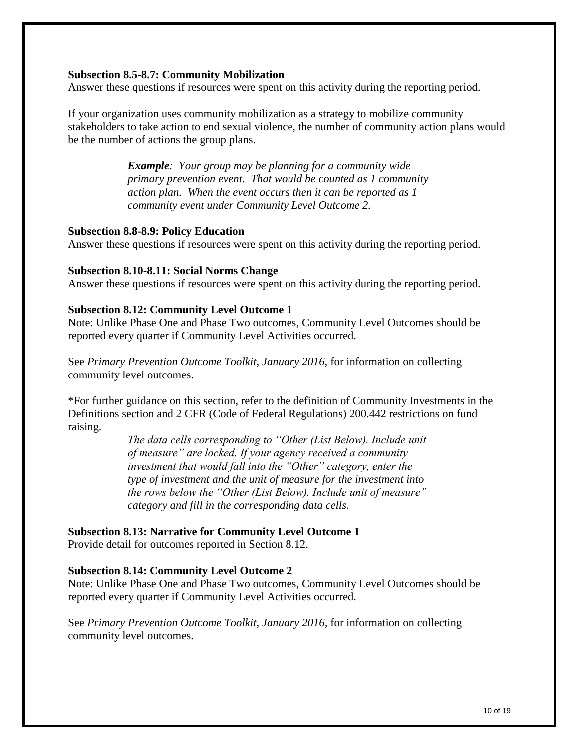#### **Subsection 8.5-8.7: Community Mobilization**

Answer these questions if resources were spent on this activity during the reporting period.

If your organization uses community mobilization as a strategy to mobilize community stakeholders to take action to end sexual violence, the number of community action plans would be the number of actions the group plans.

> *Example: Your group may be planning for a community wide primary prevention event. That would be counted as 1 community action plan. When the event occurs then it can be reported as 1 community event under Community Level Outcome 2.*

#### **Subsection 8.8-8.9: Policy Education**

Answer these questions if resources were spent on this activity during the reporting period.

#### **Subsection 8.10-8.11: Social Norms Change**

Answer these questions if resources were spent on this activity during the reporting period.

#### **Subsection 8.12: Community Level Outcome 1**

Note: Unlike Phase One and Phase Two outcomes, Community Level Outcomes should be reported every quarter if Community Level Activities occurred.

See *Primary Prevention Outcome Toolkit, January 2016,* for information on collecting community level outcomes.

\*For further guidance on this section, refer to the definition of Community Investments in the Definitions section and 2 CFR (Code of Federal Regulations) 200.442 restrictions on fund raising.

> *The data cells corresponding to "Other (List Below). Include unit of measure" are locked. If your agency received a community investment that would fall into the "Other" category, enter the type of investment and the unit of measure for the investment into the rows below the "Other (List Below). Include unit of measure" category and fill in the corresponding data cells.*

**Subsection 8.13: Narrative for Community Level Outcome 1**

Provide detail for outcomes reported in Section 8.12.

## **Subsection 8.14: Community Level Outcome 2**

Note: Unlike Phase One and Phase Two outcomes, Community Level Outcomes should be reported every quarter if Community Level Activities occurred.

See *Primary Prevention Outcome Toolkit, January 2016,* for information on collecting community level outcomes.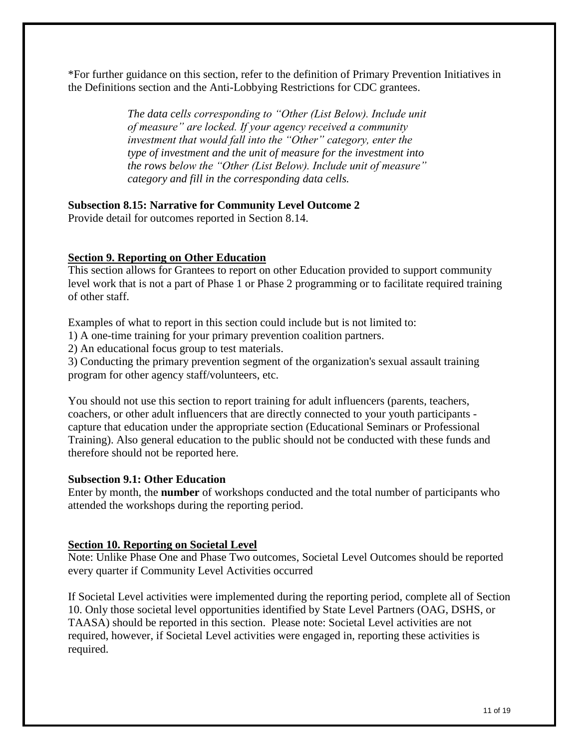\*For further guidance on this section, refer to the definition of Primary Prevention Initiatives in the Definitions section and the Anti-Lobbying Restrictions for CDC grantees.

> *The data cells corresponding to "Other (List Below). Include unit of measure" are locked. If your agency received a community investment that would fall into the "Other" category, enter the type of investment and the unit of measure for the investment into the rows below the "Other (List Below). Include unit of measure" category and fill in the corresponding data cells.*

## **Subsection 8.15: Narrative for Community Level Outcome 2**

Provide detail for outcomes reported in Section 8.14.

## **Section 9. Reporting on Other Education**

This section allows for Grantees to report on other Education provided to support community level work that is not a part of Phase 1 or Phase 2 programming or to facilitate required training of other staff.

Examples of what to report in this section could include but is not limited to:

1) A one-time training for your primary prevention coalition partners.

2) An educational focus group to test materials.

3) Conducting the primary prevention segment of the organization's sexual assault training program for other agency staff/volunteers, etc.

You should not use this section to report training for adult influencers (parents, teachers, coachers, or other adult influencers that are directly connected to your youth participants capture that education under the appropriate section (Educational Seminars or Professional Training). Also general education to the public should not be conducted with these funds and therefore should not be reported here.

## **Subsection 9.1: Other Education**

Enter by month, the **number** of workshops conducted and the total number of participants who attended the workshops during the reporting period.

## **Section 10. Reporting on Societal Level**

Note: Unlike Phase One and Phase Two outcomes, Societal Level Outcomes should be reported every quarter if Community Level Activities occurred

If Societal Level activities were implemented during the reporting period, complete all of Section 10. Only those societal level opportunities identified by State Level Partners (OAG, DSHS, or TAASA) should be reported in this section. Please note: Societal Level activities are not required, however, if Societal Level activities were engaged in, reporting these activities is required.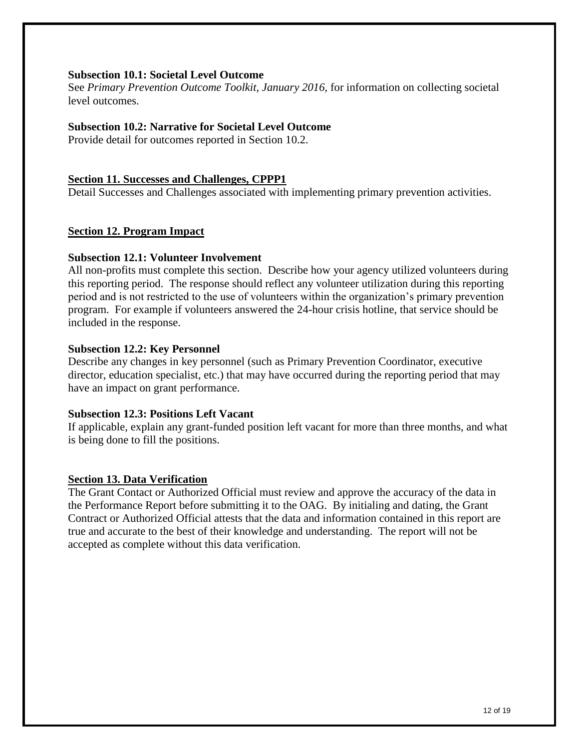#### **Subsection 10.1: Societal Level Outcome**

See *Primary Prevention Outcome Toolkit, January 2016,* for information on collecting societal level outcomes.

## **Subsection 10.2: Narrative for Societal Level Outcome**

Provide detail for outcomes reported in Section 10.2.

#### **Section 11. Successes and Challenges, CPPP1**

Detail Successes and Challenges associated with implementing primary prevention activities.

## **Section 12. Program Impact**

#### **Subsection 12.1: Volunteer Involvement**

All non-profits must complete this section. Describe how your agency utilized volunteers during this reporting period. The response should reflect any volunteer utilization during this reporting period and is not restricted to the use of volunteers within the organization's primary prevention program. For example if volunteers answered the 24-hour crisis hotline, that service should be included in the response.

#### **Subsection 12.2: Key Personnel**

Describe any changes in key personnel (such as Primary Prevention Coordinator, executive director, education specialist, etc.) that may have occurred during the reporting period that may have an impact on grant performance.

#### **Subsection 12.3: Positions Left Vacant**

If applicable, explain any grant-funded position left vacant for more than three months, and what is being done to fill the positions.

## **Section 13. Data Verification**

The Grant Contact or Authorized Official must review and approve the accuracy of the data in the Performance Report before submitting it to the OAG. By initialing and dating, the Grant Contract or Authorized Official attests that the data and information contained in this report are true and accurate to the best of their knowledge and understanding. The report will not be accepted as complete without this data verification.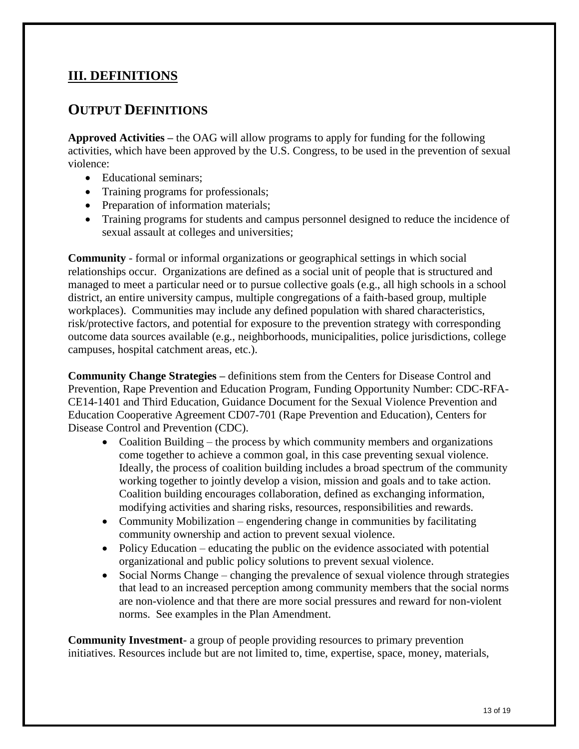# **III. DEFINITIONS**

# **OUTPUT DEFINITIONS**

**Approved Activities –** the OAG will allow programs to apply for funding for the following activities, which have been approved by the U.S. Congress, to be used in the prevention of sexual violence:

- Educational seminars:
- Training programs for professionals;
- Preparation of information materials;
- Training programs for students and campus personnel designed to reduce the incidence of sexual assault at colleges and universities;

**Community** - formal or informal organizations or geographical settings in which social relationships occur. Organizations are defined as a social unit of people that is structured and managed to meet a particular need or to pursue collective goals (e.g., all high schools in a school district, an entire university campus, multiple congregations of a faith-based group, multiple workplaces). Communities may include any defined population with shared characteristics, risk/protective factors, and potential for exposure to the prevention strategy with corresponding outcome data sources available (e.g., neighborhoods, municipalities, police jurisdictions, college campuses, hospital catchment areas, etc.).

**Community Change Strategies –** definitions stem from the Centers for Disease Control and Prevention, Rape Prevention and Education Program, Funding Opportunity Number: CDC-RFA-CE14-1401 and Third Education, Guidance Document for the Sexual Violence Prevention and Education Cooperative Agreement CD07-701 (Rape Prevention and Education), Centers for Disease Control and Prevention (CDC).

- Coalition Building the process by which community members and organizations come together to achieve a common goal, in this case preventing sexual violence. Ideally, the process of coalition building includes a broad spectrum of the community working together to jointly develop a vision, mission and goals and to take action. Coalition building encourages collaboration, defined as exchanging information, modifying activities and sharing risks, resources, responsibilities and rewards.
- Community Mobilization engendering change in communities by facilitating community ownership and action to prevent sexual violence.
- Policy Education educating the public on the evidence associated with potential organizational and public policy solutions to prevent sexual violence.
- Social Norms Change changing the prevalence of sexual violence through strategies that lead to an increased perception among community members that the social norms are non-violence and that there are more social pressures and reward for non-violent norms. See examples in the Plan Amendment.

**Community Investment**- a group of people providing resources to primary prevention initiatives. Resources include but are not limited to, time, expertise, space, money, materials,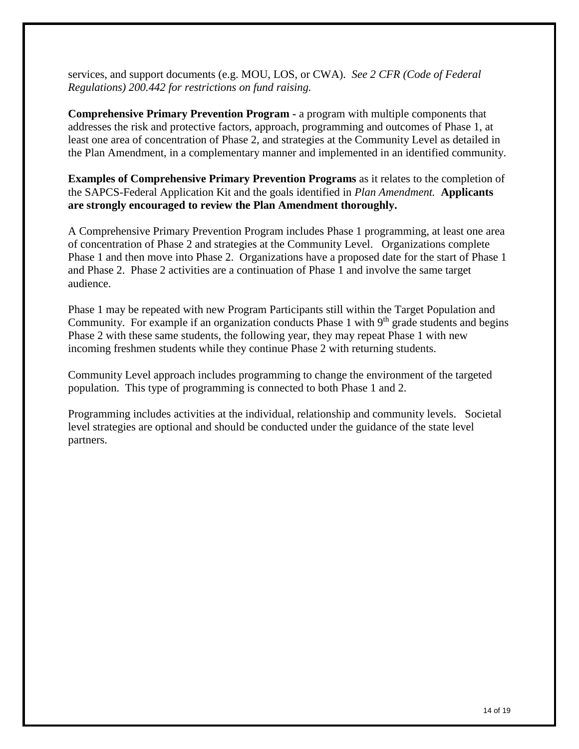services, and support documents (e.g. MOU, LOS, or CWA). *See 2 CFR (Code of Federal Regulations) 200.442 for restrictions on fund raising.* 

**Comprehensive Primary Prevention Program -** a program with multiple components that addresses the risk and protective factors, approach, programming and outcomes of Phase 1, at least one area of concentration of Phase 2, and strategies at the Community Level as detailed in the Plan Amendment, in a complementary manner and implemented in an identified community.

**Examples of Comprehensive Primary Prevention Programs** as it relates to the completion of the SAPCS-Federal Application Kit and the goals identified in *Plan Amendment.* **Applicants are strongly encouraged to review the Plan Amendment thoroughly.** 

A Comprehensive Primary Prevention Program includes Phase 1 programming, at least one area of concentration of Phase 2 and strategies at the Community Level. Organizations complete Phase 1 and then move into Phase 2. Organizations have a proposed date for the start of Phase 1 and Phase 2. Phase 2 activities are a continuation of Phase 1 and involve the same target audience.

Phase 1 may be repeated with new Program Participants still within the Target Population and Community. For example if an organization conducts Phase 1 with 9<sup>th</sup> grade students and begins Phase 2 with these same students, the following year, they may repeat Phase 1 with new incoming freshmen students while they continue Phase 2 with returning students.

Community Level approach includes programming to change the environment of the targeted population. This type of programming is connected to both Phase 1 and 2.

Programming includes activities at the individual, relationship and community levels. Societal level strategies are optional and should be conducted under the guidance of the state level partners.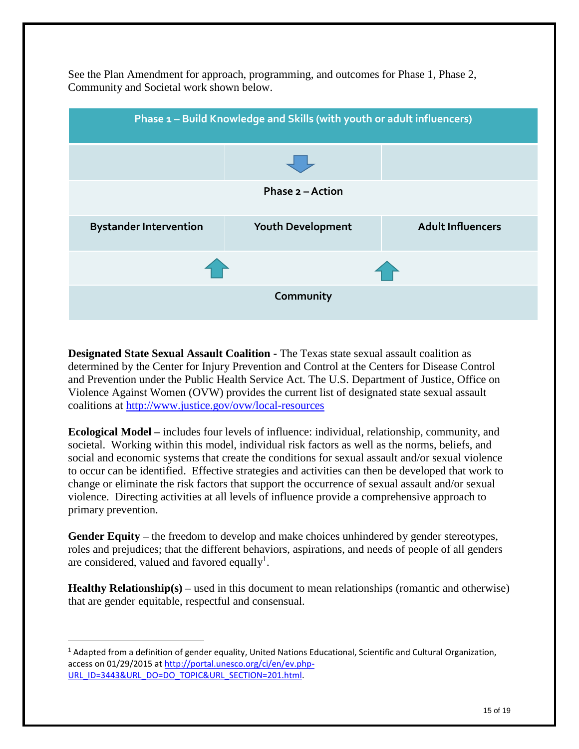

See the Plan Amendment for approach, programming, and outcomes for Phase 1, Phase 2, Community and Societal work shown below.

**Designated State Sexual Assault Coalition -** The Texas state sexual assault coalition as determined by the Center for Injury Prevention and Control at the Centers for Disease Control and Prevention under the Public Health Service Act. The U.S. Department of Justice, Office on Violence Against Women (OVW) provides the current list of designated state sexual assault coalitions at<http://www.justice.gov/ovw/local-resources>

**Ecological Model –** includes four levels of influence: individual, relationship, community, and societal. Working within this model, individual risk factors as well as the norms, beliefs, and social and economic systems that create the conditions for sexual assault and/or sexual violence to occur can be identified. Effective strategies and activities can then be developed that work to change or eliminate the risk factors that support the occurrence of sexual assault and/or sexual violence. Directing activities at all levels of influence provide a comprehensive approach to primary prevention.

**Gender Equity –** the freedom to develop and make choices unhindered by gender stereotypes, roles and prejudices; that the different behaviors, aspirations, and needs of people of all genders are considered, valued and favored equally<sup>1</sup>.

**Healthy Relationship(s) –** used in this document to mean relationships (romantic and otherwise) that are gender equitable, respectful and consensual.

 $\overline{a}$ 

 $1$  Adapted from a definition of gender equality, United Nations Educational, Scientific and Cultural Organization, access on 01/29/2015 at [http://portal.unesco.org/ci/en/ev.php-](http://portal.unesco.org/ci/en/ev.php-URL_ID=3443&URL_DO=DO_TOPIC&URL_SECTION=201.html)URL\_ID=3443&URL\_DO=DO\_TOPIC&URL\_SECTION=201.html.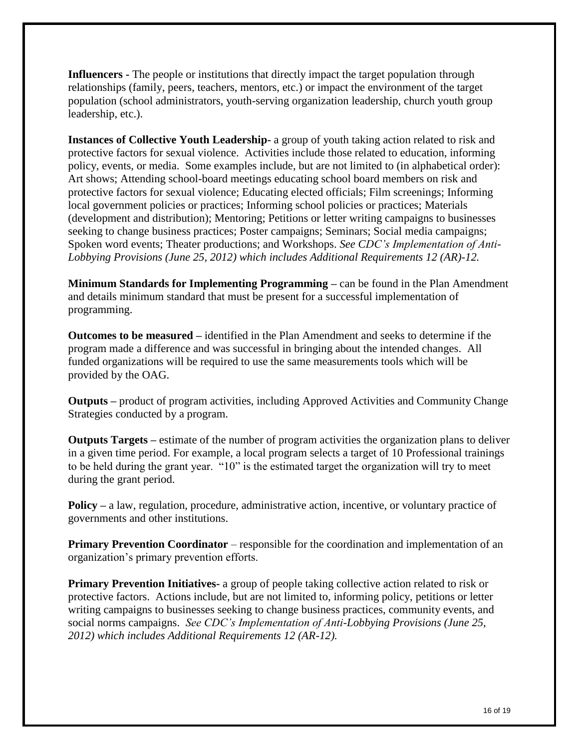**Influencers -** The people or institutions that directly impact the target population through relationships (family, peers, teachers, mentors, etc.) or impact the environment of the target population (school administrators, youth-serving organization leadership, church youth group leadership, etc.).

**Instances of Collective Youth Leadership-** a group of youth taking action related to risk and protective factors for sexual violence. Activities include those related to education, informing policy, events, or media. Some examples include, but are not limited to (in alphabetical order): Art shows; Attending school-board meetings educating school board members on risk and protective factors for sexual violence; Educating elected officials; Film screenings; Informing local government policies or practices; Informing school policies or practices; Materials (development and distribution); Mentoring; Petitions or letter writing campaigns to businesses seeking to change business practices; Poster campaigns; Seminars; Social media campaigns; Spoken word events; Theater productions; and Workshops. *See CDC's Implementation of Anti-Lobbying Provisions (June 25, 2012) which includes Additional Requirements 12 (AR)-12.*

**Minimum Standards for Implementing Programming –** can be found in the Plan Amendment and details minimum standard that must be present for a successful implementation of programming.

**Outcomes to be measured –** identified in the Plan Amendment and seeks to determine if the program made a difference and was successful in bringing about the intended changes. All funded organizations will be required to use the same measurements tools which will be provided by the OAG.

**Outputs –** product of program activities, including Approved Activities and Community Change Strategies conducted by a program.

**Outputs Targets –** estimate of the number of program activities the organization plans to deliver in a given time period. For example, a local program selects a target of 10 Professional trainings to be held during the grant year. "10" is the estimated target the organization will try to meet during the grant period.

**Policy** – a law, regulation, procedure, administrative action, incentive, or voluntary practice of governments and other institutions.

**Primary Prevention Coordinator** – responsible for the coordination and implementation of an organization's primary prevention efforts.

**Primary Prevention Initiatives-** a group of people taking collective action related to risk or protective factors. Actions include, but are not limited to, informing policy, petitions or letter writing campaigns to businesses seeking to change business practices, community events, and social norms campaigns. *See CDC's Implementation of Anti-Lobbying Provisions (June 25, 2012) which includes Additional Requirements 12 (AR-12).*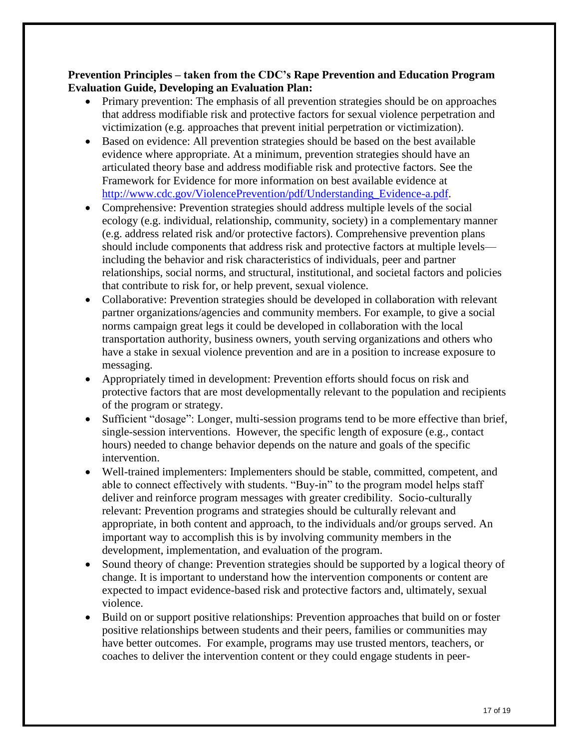## **Prevention Principles – taken from the CDC's Rape Prevention and Education Program Evaluation Guide, Developing an Evaluation Plan:**

- Primary prevention: The emphasis of all prevention strategies should be on approaches that address modifiable risk and protective factors for sexual violence perpetration and victimization (e.g. approaches that prevent initial perpetration or victimization).
- Based on evidence: All prevention strategies should be based on the best available evidence where appropriate. At a minimum, prevention strategies should have an articulated theory base and address modifiable risk and protective factors. See the Framework for Evidence for more information on best available evidence at [http://www.cdc.gov/ViolencePrevention/pdf/Understanding\\_Evidence-a.pdf.](http://www.cdc.gov/ViolencePrevention/pdf/Understanding_Evidence-a.pdf)
- Comprehensive: Prevention strategies should address multiple levels of the social ecology (e.g. individual, relationship, community, society) in a complementary manner (e.g. address related risk and/or protective factors). Comprehensive prevention plans should include components that address risk and protective factors at multiple levels including the behavior and risk characteristics of individuals, peer and partner relationships, social norms, and structural, institutional, and societal factors and policies that contribute to risk for, or help prevent, sexual violence.
- Collaborative: Prevention strategies should be developed in collaboration with relevant partner organizations/agencies and community members. For example, to give a social norms campaign great legs it could be developed in collaboration with the local transportation authority, business owners, youth serving organizations and others who have a stake in sexual violence prevention and are in a position to increase exposure to messaging.
- Appropriately timed in development: Prevention efforts should focus on risk and protective factors that are most developmentally relevant to the population and recipients of the program or strategy.
- Sufficient "dosage": Longer, multi-session programs tend to be more effective than brief, single-session interventions. However, the specific length of exposure (e.g., contact hours) needed to change behavior depends on the nature and goals of the specific intervention.
- Well-trained implementers: Implementers should be stable, committed, competent, and able to connect effectively with students. "Buy-in" to the program model helps staff deliver and reinforce program messages with greater credibility. Socio-culturally relevant: Prevention programs and strategies should be culturally relevant and appropriate, in both content and approach, to the individuals and/or groups served. An important way to accomplish this is by involving community members in the development, implementation, and evaluation of the program.
- Sound theory of change: Prevention strategies should be supported by a logical theory of change. It is important to understand how the intervention components or content are expected to impact evidence-based risk and protective factors and, ultimately, sexual violence.
- Build on or support positive relationships: Prevention approaches that build on or foster positive relationships between students and their peers, families or communities may have better outcomes. For example, programs may use trusted mentors, teachers, or coaches to deliver the intervention content or they could engage students in peer-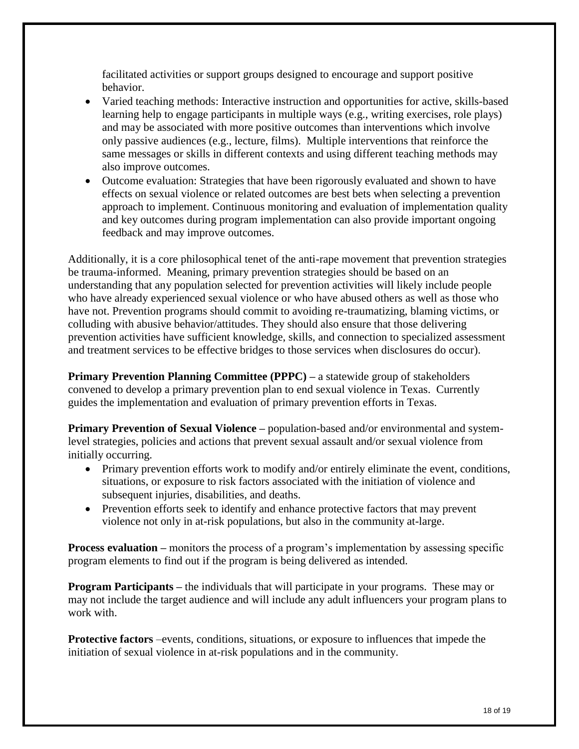facilitated activities or support groups designed to encourage and support positive behavior.

- Varied teaching methods: Interactive instruction and opportunities for active, skills-based learning help to engage participants in multiple ways (e.g., writing exercises, role plays) and may be associated with more positive outcomes than interventions which involve only passive audiences (e.g., lecture, films). Multiple interventions that reinforce the same messages or skills in different contexts and using different teaching methods may also improve outcomes.
- Outcome evaluation: Strategies that have been rigorously evaluated and shown to have effects on sexual violence or related outcomes are best bets when selecting a prevention approach to implement. Continuous monitoring and evaluation of implementation quality and key outcomes during program implementation can also provide important ongoing feedback and may improve outcomes.

Additionally, it is a core philosophical tenet of the anti-rape movement that prevention strategies be trauma-informed. Meaning, primary prevention strategies should be based on an understanding that any population selected for prevention activities will likely include people who have already experienced sexual violence or who have abused others as well as those who have not. Prevention programs should commit to avoiding re-traumatizing, blaming victims, or colluding with abusive behavior/attitudes. They should also ensure that those delivering prevention activities have sufficient knowledge, skills, and connection to specialized assessment and treatment services to be effective bridges to those services when disclosures do occur).

**Primary Prevention Planning Committee (PPPC)** – a statewide group of stakeholders convened to develop a primary prevention plan to end sexual violence in Texas. Currently guides the implementation and evaluation of primary prevention efforts in Texas.

**Primary Prevention of Sexual Violence –** population-based and/or environmental and systemlevel strategies, policies and actions that prevent sexual assault and/or sexual violence from initially occurring.

- Primary prevention efforts work to modify and/or entirely eliminate the event, conditions, situations, or exposure to risk factors associated with the initiation of violence and subsequent injuries, disabilities, and deaths.
- Prevention efforts seek to identify and enhance protective factors that may prevent violence not only in at-risk populations, but also in the community at-large.

**Process evaluation** – monitors the process of a program's implementation by assessing specific program elements to find out if the program is being delivered as intended.

**Program Participants** – the individuals that will participate in your programs. These may or may not include the target audience and will include any adult influencers your program plans to work with.

**Protective factors** –events, conditions, situations, or exposure to influences that impede the initiation of sexual violence in at-risk populations and in the community.